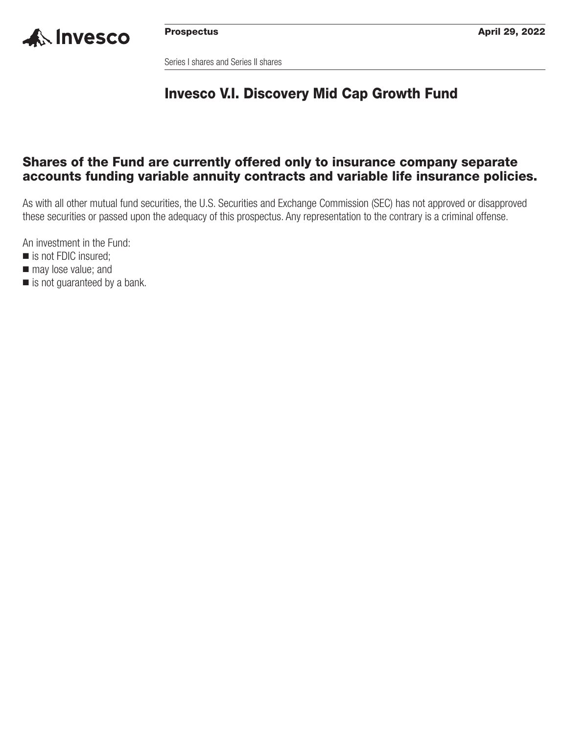

Series I shares and Series II shares

### **Invesco V.I. Discovery Mid Cap Growth Fund**

### **Shares of the Fund are currently offered only to insurance company separate accounts funding variable annuity contracts and variable life insurance policies.**

As with all other mutual fund securities, the U.S. Securities and Exchange Commission (SEC) has not approved or disapproved these securities or passed upon the adequacy of this prospectus. Any representation to the contrary is a criminal offense.

An investment in the Fund:

- is not FDIC insured;
- $\blacksquare$  may lose value; and
- is not guaranteed by a bank.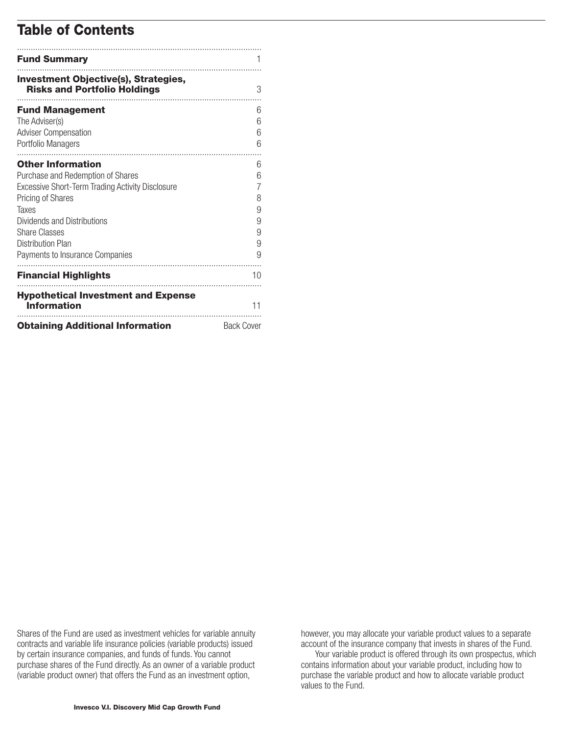### **Table of Contents**

| <b>Fund Summary</b>                                                                           |                   |
|-----------------------------------------------------------------------------------------------|-------------------|
| <b>Investment Objective(s), Strategies,</b><br><b>Risks and Portfolio Holdings</b>            | 3                 |
| <b>Fund Management</b><br>The Adviser(s)<br><b>Adviser Compensation</b><br>Portfolio Managers | 6<br>6<br>6<br>6  |
| <b>Other Information</b>                                                                      | 6                 |
| Purchase and Redemption of Shares                                                             | 6<br>7            |
| <b>Excessive Short-Term Trading Activity Disclosure</b><br>Pricing of Shares                  | 8                 |
| Taxes                                                                                         | 9                 |
| Dividends and Distributions                                                                   | 9                 |
| <b>Share Classes</b>                                                                          | 9                 |
| <b>Distribution Plan</b><br>Payments to Insurance Companies                                   | 9<br>9            |
| <b>Financial Highlights</b>                                                                   | 10                |
| <b>Hypothetical Investment and Expense</b><br><b>Information</b>                              | 11                |
| <b>Obtaining Additional Information</b>                                                       | <b>Back Cover</b> |

Shares of the Fund are used as investment vehicles for variable annuity contracts and variable life insurance policies (variable products) issued by certain insurance companies, and funds of funds. You cannot purchase shares of the Fund directly. As an owner of a variable product (variable product owner) that offers the Fund as an investment option,

however, you may allocate your variable product values to a separate account of the insurance company that invests in shares of the Fund.

Your variable product is offered through its own prospectus, which contains information about your variable product, including how to purchase the variable product and how to allocate variable product values to the Fund.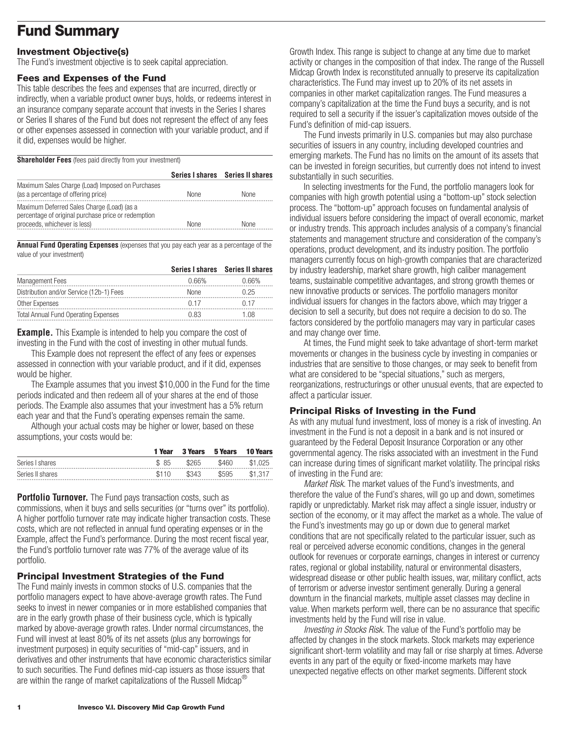## <span id="page-2-0"></span>**Fund Summary**

### **Investment Objective(s)**

The Fund's investment objective is to seek capital appreciation.

#### **Fees and Expenses of the Fund**

This table describes the fees and expenses that are incurred, directly or indirectly, when a variable product owner buys, holds, or redeems interest in an insurance company separate account that invests in the Series I shares or Series II shares of the Fund but does not represent the effect of any fees or other expenses assessed in connection with your variable product, and if it did, expenses would be higher.

**Shareholder Fees** (fees paid directly from your investment)

|                                                                                                                                   |             | Series I shares Series II shares |
|-----------------------------------------------------------------------------------------------------------------------------------|-------------|----------------------------------|
| Maximum Sales Charge (Load) Imposed on Purchases<br>(as a percentage of offering price)                                           | <b>None</b> | <b>None</b>                      |
| Maximum Deferred Sales Charge (Load) (as a<br>percentage of original purchase price or redemption<br>proceeds, whichever is less) | None        | None                             |

**Annual Fund Operating Expenses** (expenses that you pay each year as a percentage of the value of your investment)

|                                             |       | Series I shares Series II shares |
|---------------------------------------------|-------|----------------------------------|
| <b>Management Fees</b>                      | በ 66% | ገ 66%                            |
| Distribution and/or Service (12b-1) Fees    | None  | ገ 25                             |
| Other Expenses                              |       |                                  |
| <b>Total Annual Fund Operating Expenses</b> | U 83  | - 118                            |

**Example.** This Example is intended to help you compare the cost of investing in the Fund with the cost of investing in other mutual funds.

This Example does not represent the effect of any fees or expenses assessed in connection with your variable product, and if it did, expenses would be higher.

The Example assumes that you invest \$10,000 in the Fund for the time periods indicated and then redeem all of your shares at the end of those periods. The Example also assumes that your investment has a 5% return each year and that the Fund's operating expenses remain the same.

Although your actual costs may be higher or lower, based on these assumptions, your costs would be:

|                  | 1 Year | <b>3 Years</b> | 5 Years | <b>10 Years</b> |
|------------------|--------|----------------|---------|-----------------|
| Series I shares  | \$85   | \$265          | \$460   | \$1.025         |
| Series II shares | \$110  | \$343          | \$595   | \$1,317         |

**Portfolio Turnover.** The Fund pays transaction costs, such as commissions, when it buys and sells securities (or "turns over" its portfolio). A higher portfolio turnover rate may indicate higher transaction costs. These costs, which are not reflected in annual fund operating expenses or in the Example, affect the Fund's performance. During the most recent fiscal year, the Fund's portfolio turnover rate was 77% of the average value of its portfolio.

### **Principal Investment Strategies of the Fund**

The Fund mainly invests in common stocks of U.S. companies that the portfolio managers expect to have above-average growth rates. The Fund seeks to invest in newer companies or in more established companies that are in the early growth phase of their business cycle, which is typically marked by above-average growth rates. Under normal circumstances, the Fund will invest at least 80% of its net assets (plus any borrowings for investment purposes) in equity securities of "mid-cap" issuers, and in derivatives and other instruments that have economic characteristics similar to such securities. The Fund defines mid-cap issuers as those issuers that are within the range of market capitalizations of the Russell Midcap<sup>®</sup>

Growth Index. This range is subject to change at any time due to market activity or changes in the composition of that index. The range of the Russell Midcap Growth Index is reconstituted annually to preserve its capitalization characteristics. The Fund may invest up to 20% of its net assets in companies in other market capitalization ranges. The Fund measures a company's capitalization at the time the Fund buys a security, and is not required to sell a security if the issuer's capitalization moves outside of the Fund's definition of mid-cap issuers.

The Fund invests primarily in U.S. companies but may also purchase securities of issuers in any country, including developed countries and emerging markets. The Fund has no limits on the amount of its assets that can be invested in foreign securities, but currently does not intend to invest substantially in such securities.

In selecting investments for the Fund, the portfolio managers look for companies with high growth potential using a "bottom-up" stock selection process. The "bottom-up" approach focuses on fundamental analysis of individual issuers before considering the impact of overall economic, market or industry trends. This approach includes analysis of a company's financial statements and management structure and consideration of the company's operations, product development, and its industry position. The portfolio managers currently focus on high-growth companies that are characterized by industry leadership, market share growth, high caliber management teams, sustainable competitive advantages, and strong growth themes or new innovative products or services. The portfolio managers monitor individual issuers for changes in the factors above, which may trigger a decision to sell a security, but does not require a decision to do so. The factors considered by the portfolio managers may vary in particular cases and may change over time.

At times, the Fund might seek to take advantage of short-term market movements or changes in the business cycle by investing in companies or industries that are sensitive to those changes, or may seek to benefit from what are considered to be "special situations," such as mergers, reorganizations, restructurings or other unusual events, that are expected to affect a particular issuer.

### **Principal Risks of Investing in the Fund**

As with any mutual fund investment, loss of money is a risk of investing. An investment in the Fund is not a deposit in a bank and is not insured or guaranteed by the Federal Deposit Insurance Corporation or any other governmental agency. The risks associated with an investment in the Fund can increase during times of significant market volatility. The principal risks of investing in the Fund are:

*Market Risk.* The market values of the Fund's investments, and therefore the value of the Fund's shares, will go up and down, sometimes rapidly or unpredictably. Market risk may affect a single issuer, industry or section of the economy, or it may affect the market as a whole. The value of the Fund's investments may go up or down due to general market conditions that are not specifically related to the particular issuer, such as real or perceived adverse economic conditions, changes in the general outlook for revenues or corporate earnings, changes in interest or currency rates, regional or global instability, natural or environmental disasters, widespread disease or other public health issues, war, military conflict, acts of terrorism or adverse investor sentiment generally. During a general downturn in the financial markets, multiple asset classes may decline in value. When markets perform well, there can be no assurance that specific investments held by the Fund will rise in value.

*Investing in Stocks Risk.* The value of the Fund's portfolio may be affected by changes in the stock markets. Stock markets may experience significant short-term volatility and may fall or rise sharply at times. Adverse events in any part of the equity or fixed-income markets may have unexpected negative effects on other market segments. Different stock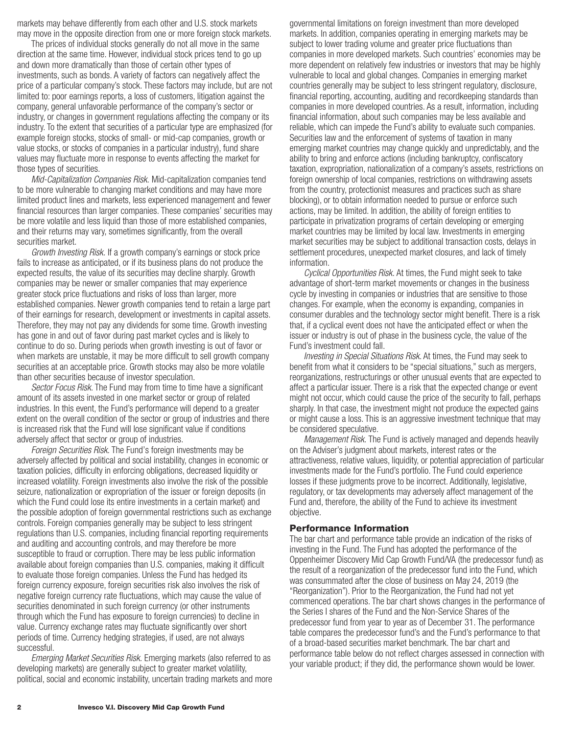markets may behave differently from each other and U.S. stock markets may move in the opposite direction from one or more foreign stock markets.

The prices of individual stocks generally do not all move in the same direction at the same time. However, individual stock prices tend to go up and down more dramatically than those of certain other types of investments, such as bonds. A variety of factors can negatively affect the price of a particular company's stock. These factors may include, but are not limited to: poor earnings reports, a loss of customers, litigation against the company, general unfavorable performance of the company's sector or industry, or changes in government regulations affecting the company or its industry. To the extent that securities of a particular type are emphasized (for example foreign stocks, stocks of small- or mid-cap companies, growth or value stocks, or stocks of companies in a particular industry), fund share values may fluctuate more in response to events affecting the market for those types of securities.

*Mid-Capitalization Companies Risk.* Mid-capitalization companies tend to be more vulnerable to changing market conditions and may have more limited product lines and markets, less experienced management and fewer financial resources than larger companies. These companies' securities may be more volatile and less liquid than those of more established companies, and their returns may vary, sometimes significantly, from the overall securities market.

*Growth Investing Risk.* If a growth company's earnings or stock price fails to increase as anticipated, or if its business plans do not produce the expected results, the value of its securities may decline sharply. Growth companies may be newer or smaller companies that may experience greater stock price fluctuations and risks of loss than larger, more established companies. Newer growth companies tend to retain a large part of their earnings for research, development or investments in capital assets. Therefore, they may not pay any dividends for some time. Growth investing has gone in and out of favor during past market cycles and is likely to continue to do so. During periods when growth investing is out of favor or when markets are unstable, it may be more difficult to sell growth company securities at an acceptable price. Growth stocks may also be more volatile than other securities because of investor speculation.

*Sector Focus Risk*. The Fund may from time to time have a significant amount of its assets invested in one market sector or group of related industries. In this event, the Fund's performance will depend to a greater extent on the overall condition of the sector or group of industries and there is increased risk that the Fund will lose significant value if conditions adversely affect that sector or group of industries.

*Foreign Securities Risk.* The Fund's foreign investments may be adversely affected by political and social instability, changes in economic or taxation policies, difficulty in enforcing obligations, decreased liquidity or increased volatility. Foreign investments also involve the risk of the possible seizure, nationalization or expropriation of the issuer or foreign deposits (in which the Fund could lose its entire investments in a certain market) and the possible adoption of foreign governmental restrictions such as exchange controls. Foreign companies generally may be subject to less stringent regulations than U.S. companies, including financial reporting requirements and auditing and accounting controls, and may therefore be more susceptible to fraud or corruption. There may be less public information available about foreign companies than U.S. companies, making it difficult to evaluate those foreign companies. Unless the Fund has hedged its foreign currency exposure, foreign securities risk also involves the risk of negative foreign currency rate fluctuations, which may cause the value of securities denominated in such foreign currency (or other instruments through which the Fund has exposure to foreign currencies) to decline in value. Currency exchange rates may fluctuate significantly over short periods of time. Currency hedging strategies, if used, are not always successful.

*Emerging Market Securities Risk.* Emerging markets (also referred to as developing markets) are generally subject to greater market volatility, political, social and economic instability, uncertain trading markets and more governmental limitations on foreign investment than more developed markets. In addition, companies operating in emerging markets may be subject to lower trading volume and greater price fluctuations than companies in more developed markets. Such countries' economies may be more dependent on relatively few industries or investors that may be highly vulnerable to local and global changes. Companies in emerging market countries generally may be subject to less stringent regulatory, disclosure, financial reporting, accounting, auditing and recordkeeping standards than companies in more developed countries. As a result, information, including financial information, about such companies may be less available and reliable, which can impede the Fund's ability to evaluate such companies. Securities law and the enforcement of systems of taxation in many emerging market countries may change quickly and unpredictably, and the ability to bring and enforce actions (including bankruptcy, confiscatory taxation, expropriation, nationalization of a company's assets, restrictions on foreign ownership of local companies, restrictions on withdrawing assets from the country, protectionist measures and practices such as share blocking), or to obtain information needed to pursue or enforce such actions, may be limited. In addition, the ability of foreign entities to participate in privatization programs of certain developing or emerging market countries may be limited by local law. Investments in emerging market securities may be subject to additional transaction costs, delays in settlement procedures, unexpected market closures, and lack of timely information.

*Cyclical Opportunities Risk.* At times, the Fund might seek to take advantage of short-term market movements or changes in the business cycle by investing in companies or industries that are sensitive to those changes. For example, when the economy is expanding, companies in consumer durables and the technology sector might benefit. There is a risk that, if a cyclical event does not have the anticipated effect or when the issuer or industry is out of phase in the business cycle, the value of the Fund's investment could fall.

*Investing in Special Situations Risk*. At times, the Fund may seek to benefit from what it considers to be "special situations," such as mergers, reorganizations, restructurings or other unusual events that are expected to affect a particular issuer. There is a risk that the expected change or event might not occur, which could cause the price of the security to fall, perhaps sharply. In that case, the investment might not produce the expected gains or might cause a loss. This is an aggressive investment technique that may be considered speculative.

*Management Risk.* The Fund is actively managed and depends heavily on the Adviser's judgment about markets, interest rates or the attractiveness, relative values, liquidity, or potential appreciation of particular investments made for the Fund's portfolio. The Fund could experience losses if these judgments prove to be incorrect. Additionally, legislative, regulatory, or tax developments may adversely affect management of the Fund and, therefore, the ability of the Fund to achieve its investment objective.

#### **Performance Information**

The bar chart and performance table provide an indication of the risks of investing in the Fund. The Fund has adopted the performance of the Oppenheimer Discovery Mid Cap Growth Fund/VA (the predecessor fund) as the result of a reorganization of the predecessor fund into the Fund, which was consummated after the close of business on May 24, 2019 (the "Reorganization"). Prior to the Reorganization, the Fund had not yet commenced operations. The bar chart shows changes in the performance of the Series I shares of the Fund and the Non-Service Shares of the predecessor fund from year to year as of December 31. The performance table compares the predecessor fund's and the Fund's performance to that of a broad-based securities market benchmark. The bar chart and performance table below do not reflect charges assessed in connection with your variable product; if they did, the performance shown would be lower.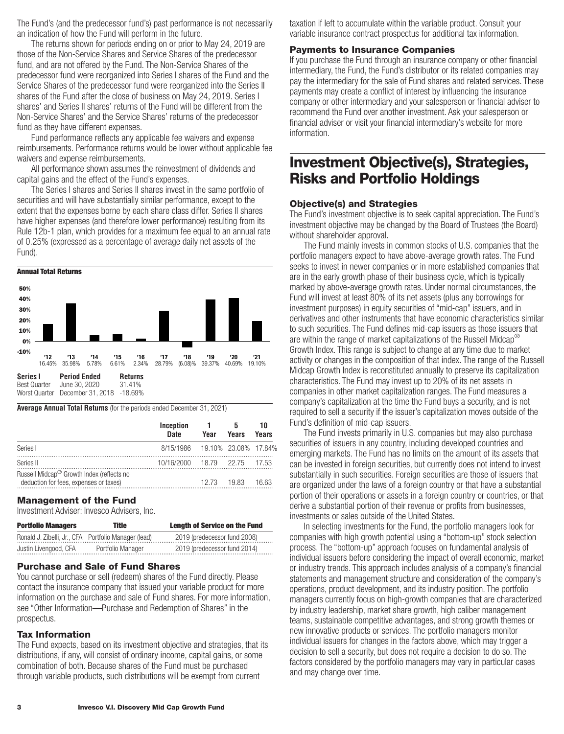<span id="page-4-0"></span>The Fund's (and the predecessor fund's) past performance is not necessarily an indication of how the Fund will perform in the future.

The returns shown for periods ending on or prior to May 24, 2019 are those of the Non-Service Shares and Service Shares of the predecessor fund, and are not offered by the Fund. The Non-Service Shares of the predecessor fund were reorganized into Series I shares of the Fund and the Service Shares of the predecessor fund were reorganized into the Series II shares of the Fund after the close of business on May 24, 2019. Series I shares' and Series II shares' returns of the Fund will be different from the Non-Service Shares' and the Service Shares' returns of the predecessor fund as they have different expenses.

Fund performance reflects any applicable fee waivers and expense reimbursements. Performance returns would be lower without applicable fee waivers and expense reimbursements.

All performance shown assumes the reinvestment of dividends and capital gains and the effect of the Fund's expenses.

The Series I shares and Series II shares invest in the same portfolio of securities and will have substantially similar performance, except to the extent that the expenses borne by each share class differ. Series II shares have higher expenses (and therefore lower performance) resulting from its Rule 12b-1 plan, which provides for a maximum fee equal to an annual rate of 0.25% (expressed as a percentage of average daily net assets of the Fund).



**Average Annual Total Returns** (for the periods ended December 31, 2021)

|                                                                                                 | Inception<br>Date              | Year  | Years | 10<br>Years |
|-------------------------------------------------------------------------------------------------|--------------------------------|-------|-------|-------------|
| Series I                                                                                        | 8/15/1986 19.10% 23.08% 17.84% |       |       |             |
| Series II                                                                                       | 10/16/2000 18.79 22.75         |       |       | 17.53       |
| Russell Midcap <sup>®</sup> Growth Index (reflects no<br>deduction for fees, expenses or taxes) |                                | 12.73 | 19.83 | 16.63       |

### **Management of the Fund**

Investment Adviser: Invesco Advisers, Inc.

| <b>Portfolio Managers</b>                            | Title             | <b>Lenath of Service on the Fund</b> |
|------------------------------------------------------|-------------------|--------------------------------------|
| Ronald J. Zibelli, Jr., CFA Portfolio Manager (lead) |                   | 2019 (predecessor fund 2008)         |
| Justin Livengood, CFA                                | Portfolio Manager | 2019 (predecessor fund 2014)         |

### **Purchase and Sale of Fund Shares**

You cannot purchase or sell (redeem) shares of the Fund directly. Please contact the insurance company that issued your variable product for more information on the purchase and sale of Fund shares. For more information, see "Other Information—Purchase and Redemption of Shares" in the prospectus.

### **Tax Information**

The Fund expects, based on its investment objective and strategies, that its distributions, if any, will consist of ordinary income, capital gains, or some combination of both. Because shares of the Fund must be purchased through variable products, such distributions will be exempt from current

taxation if left to accumulate within the variable product. Consult your variable insurance contract prospectus for additional tax information.

### **Payments to Insurance Companies**

If you purchase the Fund through an insurance company or other financial intermediary, the Fund, the Fund's distributor or its related companies may pay the intermediary for the sale of Fund shares and related services. These payments may create a conflict of interest by influencing the insurance company or other intermediary and your salesperson or financial adviser to recommend the Fund over another investment. Ask your salesperson or financial adviser or visit your financial intermediary's website for more information.

### **Investment Objective(s), Strategies, Risks and Portfolio Holdings**

### **Objective(s) and Strategies**

The Fund's investment objective is to seek capital appreciation. The Fund's investment objective may be changed by the Board of Trustees (the Board) without shareholder approval.

The Fund mainly invests in common stocks of U.S. companies that the portfolio managers expect to have above-average growth rates. The Fund seeks to invest in newer companies or in more established companies that are in the early growth phase of their business cycle, which is typically marked by above-average growth rates. Under normal circumstances, the Fund will invest at least 80% of its net assets (plus any borrowings for investment purposes) in equity securities of "mid-cap" issuers, and in derivatives and other instruments that have economic characteristics similar to such securities. The Fund defines mid-cap issuers as those issuers that are within the range of market capitalizations of the Russell Midcap<sup>®</sup> Growth Index. This range is subject to change at any time due to market activity or changes in the composition of that index. The range of the Russell Midcap Growth Index is reconstituted annually to preserve its capitalization characteristics. The Fund may invest up to 20% of its net assets in companies in other market capitalization ranges. The Fund measures a company's capitalization at the time the Fund buys a security, and is not required to sell a security if the issuer's capitalization moves outside of the Fund's definition of mid-cap issuers.

The Fund invests primarily in U.S. companies but may also purchase securities of issuers in any country, including developed countries and emerging markets. The Fund has no limits on the amount of its assets that can be invested in foreign securities, but currently does not intend to invest substantially in such securities. Foreign securities are those of issuers that are organized under the laws of a foreign country or that have a substantial portion of their operations or assets in a foreign country or countries, or that derive a substantial portion of their revenue or profits from businesses, investments or sales outside of the United States.

In selecting investments for the Fund, the portfolio managers look for companies with high growth potential using a "bottom-up" stock selection process. The "bottom-up" approach focuses on fundamental analysis of individual issuers before considering the impact of overall economic, market or industry trends. This approach includes analysis of a company's financial statements and management structure and consideration of the company's operations, product development, and its industry position. The portfolio managers currently focus on high-growth companies that are characterized by industry leadership, market share growth, high caliber management teams, sustainable competitive advantages, and strong growth themes or new innovative products or services. The portfolio managers monitor individual issuers for changes in the factors above, which may trigger a decision to sell a security, but does not require a decision to do so. The factors considered by the portfolio managers may vary in particular cases and may change over time.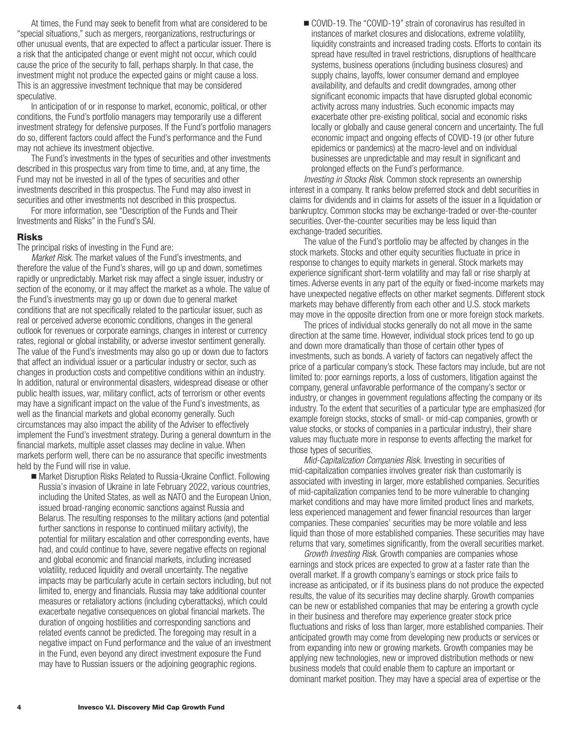At times, the Fund may seek to benefit from what are considered to be "special situations," such as mergers, reorganizations, restructurings or other unusual events, that are expected to affect a particular issuer. There is a risk that the anticipated change or event might not occur, which could cause the price of the security to fall, perhaps sharply. In that case, the investment might not produce the expected gains or might cause a loss. This is an aggressive investment technique that may be considered speculative.

In anticipation of or in response to market, economic, political, or other conditions, the Fund's portfolio managers may temporarily use a different investment strategy for defensive purposes. If the Fund's portfolio managers do so, different factors could affect the Fund's performance and the Fund may not achieve its investment objective.

The Fund's investments in the types of securities and other investments described in this prospectus vary from time to time, and, at any time, the Fund may not be invested in all of the types of securities and other investments described in this prospectus. The Fund may also invest in securities and other investments not described in this prospectus.

For more information, see "Description of the Funds and Their Investments and Risks" in the Fund's SAI.

#### **Risks**

The principal risks of investing in the Fund are:

*Market Risk.* The market values of the Fund's investments, and therefore the value of the Fund's shares, will go up and down, sometimes rapidly or unpredictably. Market risk may affect a single issuer, industry or section of the economy, or it may affect the market as a whole. The value of the Fund's investments may go up or down due to general market conditions that are not specifically related to the particular issuer, such as real or perceived adverse economic conditions, changes in the general outlook for revenues or corporate earnings, changes in interest or currency rates, regional or global instability, or adverse investor sentiment generally. The value of the Fund's investments may also go up or down due to factors that affect an individual issuer or a particular industry or sector, such as changes in production costs and competitive conditions within an industry. In addition, natural or environmental disasters, widespread disease or other public health issues, war, military conflict, acts of terrorism or other events may have a significant impact on the value of the Fund's investments, as well as the financial markets and global economy generally. Such circumstances may also impact the ability of the Adviser to effectively implement the Fund's investment strategy. During a general downturn in the financial markets, multiple asset classes may decline in value. When markets perform well, there can be no assurance that specific investments held by the Fund will rise in value.

■ Market Disruption Risks Related to Russia-Ukraine Conflict. Following Russia's invasion of Ukraine in late February 2022, various countries, including the United States, as well as NATO and the European Union, issued broad-ranging economic sanctions against Russia and Belarus. The resulting responses to the military actions (and potential further sanctions in response to continued military activity), the potential for military escalation and other corresponding events, have had, and could continue to have, severe negative effects on regional and global economic and financial markets, including increased volatility, reduced liquidity and overall uncertainty. The negative impacts may be particularly acute in certain sectors including, but not limited to, energy and financials. Russia may take additional counter measures or retaliatory actions (including cyberattacks), which could exacerbate negative consequences on global financial markets. The duration of ongoing hostilities and corresponding sanctions and related events cannot be predicted. The foregoing may result in a negative impact on Fund performance and the value of an investment in the Fund, even beyond any direct investment exposure the Fund may have to Russian issuers or the adjoining geographic regions.

■ COVID-19. The "COVID-19" strain of coronavirus has resulted in instances of market closures and dislocations, extreme volatility, liquidity constraints and increased trading costs. Efforts to contain its spread have resulted in travel restrictions, disruptions of healthcare systems, business operations (including business closures) and supply chains, layoffs, lower consumer demand and employee availability, and defaults and credit downgrades, among other significant economic impacts that have disrupted global economic activity across many industries. Such economic impacts may exacerbate other pre-existing political, social and economic risks locally or globally and cause general concern and uncertainty. The full economic impact and ongoing effects of COVID-19 (or other future epidemics or pandemics) at the macro-level and on individual businesses are unpredictable and may result in significant and prolonged effects on the Fund's performance.

*Investing in Stocks Risk*. Common stock represents an ownership interest in a company. It ranks below preferred stock and debt securities in claims for dividends and in claims for assets of the issuer in a liquidation or bankruptcy. Common stocks may be exchange-traded or over-the-counter securities. Over-the-counter securities may be less liquid than exchange-traded securities.

The value of the Fund's portfolio may be affected by changes in the stock markets. Stocks and other equity securities fluctuate in price in response to changes to equity markets in general. Stock markets may experience significant short-term volatility and may fall or rise sharply at times. Adverse events in any part of the equity or fixed-income markets may have unexpected negative effects on other market segments. Different stock markets may behave differently from each other and U.S. stock markets may move in the opposite direction from one or more foreign stock markets.

The prices of individual stocks generally do not all move in the same direction at the same time. However, individual stock prices tend to go up and down more dramatically than those of certain other types of investments, such as bonds. A variety of factors can negatively affect the price of a particular company's stock. These factors may include, but are not limited to: poor earnings reports, a loss of customers, litigation against the company, general unfavorable performance of the company's sector or industry, or changes in government regulations affecting the company or its industry. To the extent that securities of a particular type are emphasized (for example foreign stocks, stocks of small- or mid-cap companies, growth or value stocks, or stocks of companies in a particular industry), their share values may fluctuate more in response to events affecting the market for those types of securities.

*Mid-Capitalization Companies Risk.* Investing in securities of mid-capitalization companies involves greater risk than customarily is associated with investing in larger, more established companies. Securities of mid-capitalization companies tend to be more vulnerable to changing market conditions and may have more limited product lines and markets, less experienced management and fewer financial resources than larger companies. These companies' securities may be more volatile and less liquid than those of more established companies. These securities may have returns that vary, sometimes significantly, from the overall securities market.

*Growth Investing Risk*. Growth companies are companies whose earnings and stock prices are expected to grow at a faster rate than the overall market. If a growth company's earnings or stock price fails to increase as anticipated, or if its business plans do not produce the expected results, the value of its securities may decline sharply. Growth companies can be new or established companies that may be entering a growth cycle in their business and therefore may experience greater stock price fluctuations and risks of loss than larger, more established companies. Their anticipated growth may come from developing new products or services or from expanding into new or growing markets. Growth companies may be applying new technologies, new or improved distribution methods or new business models that could enable them to capture an important or dominant market position. They may have a special area of expertise or the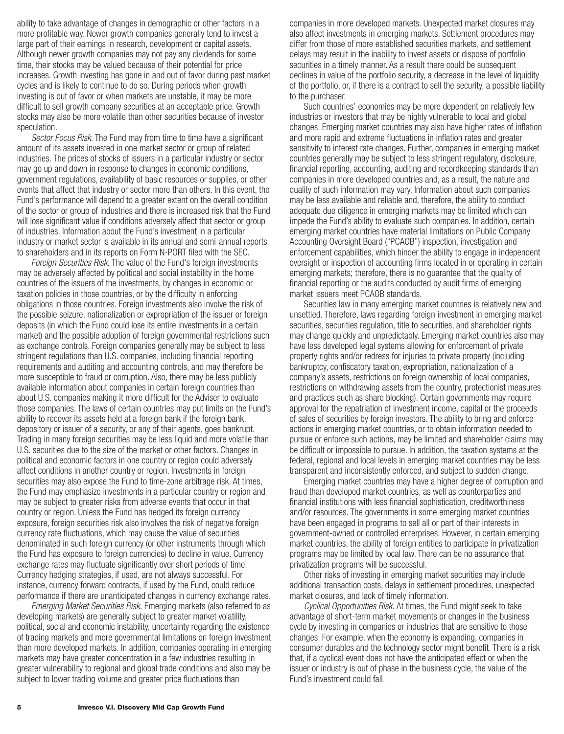ability to take advantage of changes in demographic or other factors in a more profitable way. Newer growth companies generally tend to invest a large part of their earnings in research, development or capital assets. Although newer growth companies may not pay any dividends for some time, their stocks may be valued because of their potential for price increases. Growth investing has gone in and out of favor during past market cycles and is likely to continue to do so. During periods when growth investing is out of favor or when markets are unstable, it may be more difficult to sell growth company securities at an acceptable price. Growth stocks may also be more volatile than other securities because of investor speculation.

*Sector Focus Risk*. The Fund may from time to time have a significant amount of its assets invested in one market sector or group of related industries. The prices of stocks of issuers in a particular industry or sector may go up and down in response to changes in economic conditions, government regulations, availability of basic resources or supplies, or other events that affect that industry or sector more than others. In this event, the Fund's performance will depend to a greater extent on the overall condition of the sector or group of industries and there is increased risk that the Fund will lose significant value if conditions adversely affect that sector or group of industries. Information about the Fund's investment in a particular industry or market sector is available in its annual and semi-annual reports to shareholders and in its reports on Form N-PORT filed with the SEC.

*Foreign Securities Risk.* The value of the Fund's foreign investments may be adversely affected by political and social instability in the home countries of the issuers of the investments, by changes in economic or taxation policies in those countries, or by the difficulty in enforcing obligations in those countries. Foreign investments also involve the risk of the possible seizure, nationalization or expropriation of the issuer or foreign deposits (in which the Fund could lose its entire investments in a certain market) and the possible adoption of foreign governmental restrictions such as exchange controls. Foreign companies generally may be subject to less stringent regulations than U.S. companies, including financial reporting requirements and auditing and accounting controls, and may therefore be more susceptible to fraud or corruption. Also, there may be less publicly available information about companies in certain foreign countries than about U.S. companies making it more difficult for the Adviser to evaluate those companies. The laws of certain countries may put limits on the Fund's ability to recover its assets held at a foreign bank if the foreign bank, depository or issuer of a security, or any of their agents, goes bankrupt. Trading in many foreign securities may be less liquid and more volatile than U.S. securities due to the size of the market or other factors. Changes in political and economic factors in one country or region could adversely affect conditions in another country or region. Investments in foreign securities may also expose the Fund to time-zone arbitrage risk. At times, the Fund may emphasize investments in a particular country or region and may be subject to greater risks from adverse events that occur in that country or region. Unless the Fund has hedged its foreign currency exposure, foreign securities risk also involves the risk of negative foreign currency rate fluctuations, which may cause the value of securities denominated in such foreign currency (or other instruments through which the Fund has exposure to foreign currencies) to decline in value. Currency exchange rates may fluctuate significantly over short periods of time. Currency hedging strategies, if used, are not always successful. For instance, currency forward contracts, if used by the Fund, could reduce performance if there are unanticipated changes in currency exchange rates.

*Emerging Market Securities Risk.* Emerging markets (also referred to as developing markets) are generally subject to greater market volatility, political, social and economic instability, uncertainty regarding the existence of trading markets and more governmental limitations on foreign investment than more developed markets. In addition, companies operating in emerging markets may have greater concentration in a few industries resulting in greater vulnerability to regional and global trade conditions and also may be subject to lower trading volume and greater price fluctuations than

companies in more developed markets. Unexpected market closures may also affect investments in emerging markets. Settlement procedures may differ from those of more established securities markets, and settlement delays may result in the inability to invest assets or dispose of portfolio securities in a timely manner. As a result there could be subsequent declines in value of the portfolio security, a decrease in the level of liquidity of the portfolio, or, if there is a contract to sell the security, a possible liability to the purchaser.

Such countries' economies may be more dependent on relatively few industries or investors that may be highly vulnerable to local and global changes. Emerging market countries may also have higher rates of inflation and more rapid and extreme fluctuations in inflation rates and greater sensitivity to interest rate changes. Further, companies in emerging market countries generally may be subject to less stringent regulatory, disclosure, financial reporting, accounting, auditing and recordkeeping standards than companies in more developed countries and, as a result, the nature and quality of such information may vary. Information about such companies may be less available and reliable and, therefore, the ability to conduct adequate due diligence in emerging markets may be limited which can impede the Fund's ability to evaluate such companies. In addition, certain emerging market countries have material limitations on Public Company Accounting Oversight Board ("PCAOB") inspection, investigation and enforcement capabilities, which hinder the ability to engage in independent oversight or inspection of accounting firms located in or operating in certain emerging markets; therefore, there is no guarantee that the quality of financial reporting or the audits conducted by audit firms of emerging market issuers meet PCAOB standards.

Securities law in many emerging market countries is relatively new and unsettled. Therefore, laws regarding foreign investment in emerging market securities, securities regulation, title to securities, and shareholder rights may change quickly and unpredictably. Emerging market countries also may have less developed legal systems allowing for enforcement of private property rights and/or redress for injuries to private property (including bankruptcy, confiscatory taxation, expropriation, nationalization of a company's assets, restrictions on foreign ownership of local companies, restrictions on withdrawing assets from the country, protectionist measures and practices such as share blocking). Certain governments may require approval for the repatriation of investment income, capital or the proceeds of sales of securities by foreign investors. The ability to bring and enforce actions in emerging market countries, or to obtain information needed to pursue or enforce such actions, may be limited and shareholder claims may be difficult or impossible to pursue. In addition, the taxation systems at the federal, regional and local levels in emerging market countries may be less transparent and inconsistently enforced, and subject to sudden change.

Emerging market countries may have a higher degree of corruption and fraud than developed market countries, as well as counterparties and financial institutions with less financial sophistication, creditworthiness and/or resources. The governments in some emerging market countries have been engaged in programs to sell all or part of their interests in government-owned or controlled enterprises. However, in certain emerging market countries, the ability of foreign entities to participate in privatization programs may be limited by local law. There can be no assurance that privatization programs will be successful.

Other risks of investing in emerging market securities may include additional transaction costs, delays in settlement procedures, unexpected market closures, and lack of timely information.

*Cyclical Opportunities Risk.* At times, the Fund might seek to take advantage of short-term market movements or changes in the business cycle by investing in companies or industries that are sensitive to those changes. For example, when the economy is expanding, companies in consumer durables and the technology sector might benefit. There is a risk that, if a cyclical event does not have the anticipated effect or when the issuer or industry is out of phase in the business cycle, the value of the Fund's investment could fall.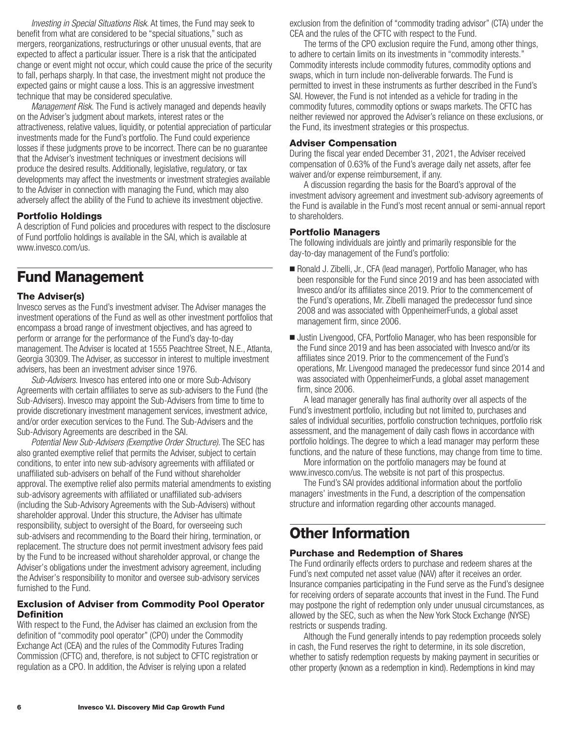<span id="page-7-0"></span>*Investing in Special Situations Risk*. At times, the Fund may seek to benefit from what are considered to be "special situations," such as mergers, reorganizations, restructurings or other unusual events, that are expected to affect a particular issuer. There is a risk that the anticipated change or event might not occur, which could cause the price of the security to fall, perhaps sharply. In that case, the investment might not produce the expected gains or might cause a loss. This is an aggressive investment technique that may be considered speculative.

*Management Risk.* The Fund is actively managed and depends heavily on the Adviser's judgment about markets, interest rates or the attractiveness, relative values, liquidity, or potential appreciation of particular investments made for the Fund's portfolio. The Fund could experience losses if these judgments prove to be incorrect. There can be no guarantee that the Adviser's investment techniques or investment decisions will produce the desired results. Additionally, legislative, regulatory, or tax developments may affect the investments or investment strategies available to the Adviser in connection with managing the Fund, which may also adversely affect the ability of the Fund to achieve its investment objective.

### **Portfolio Holdings**

A description of Fund policies and procedures with respect to the disclosure of Fund portfolio holdings is available in the SAI, which is available at www.invesco.com/us.

### **Fund Management**

### **The Adviser(s)**

Invesco serves as the Fund's investment adviser. The Adviser manages the investment operations of the Fund as well as other investment portfolios that encompass a broad range of investment objectives, and has agreed to perform or arrange for the performance of the Fund's day-to-day management. The Adviser is located at 1555 Peachtree Street, N.E., Atlanta, Georgia 30309. The Adviser, as successor in interest to multiple investment advisers, has been an investment adviser since 1976.

*Sub-Advisers*. Invesco has entered into one or more Sub-Advisory Agreements with certain affiliates to serve as sub-advisers to the Fund (the Sub-Advisers). Invesco may appoint the Sub-Advisers from time to time to provide discretionary investment management services, investment advice, and/or order execution services to the Fund. The Sub-Advisers and the Sub-Advisory Agreements are described in the SAI.

*Potential New Sub-Advisers (Exemptive Order Structure)*. The SEC has also granted exemptive relief that permits the Adviser, subject to certain conditions, to enter into new sub-advisory agreements with affiliated or unaffiliated sub-advisers on behalf of the Fund without shareholder approval. The exemptive relief also permits material amendments to existing sub-advisory agreements with affiliated or unaffiliated sub-advisers (including the Sub-Advisory Agreements with the Sub-Advisers) without shareholder approval. Under this structure, the Adviser has ultimate responsibility, subject to oversight of the Board, for overseeing such sub-advisers and recommending to the Board their hiring, termination, or replacement. The structure does not permit investment advisory fees paid by the Fund to be increased without shareholder approval, or change the Adviser's obligations under the investment advisory agreement, including the Adviser's responsibility to monitor and oversee sub-advisory services furnished to the Fund.

### **Exclusion of Adviser from Commodity Pool Operator Definition**

With respect to the Fund, the Adviser has claimed an exclusion from the definition of "commodity pool operator" (CPO) under the Commodity Exchange Act (CEA) and the rules of the Commodity Futures Trading Commission (CFTC) and, therefore, is not subject to CFTC registration or regulation as a CPO. In addition, the Adviser is relying upon a related

exclusion from the definition of "commodity trading advisor" (CTA) under the CEA and the rules of the CFTC with respect to the Fund.

The terms of the CPO exclusion require the Fund, among other things, to adhere to certain limits on its investments in "commodity interests." Commodity interests include commodity futures, commodity options and swaps, which in turn include non-deliverable forwards. The Fund is permitted to invest in these instruments as further described in the Fund's SAI. However, the Fund is not intended as a vehicle for trading in the commodity futures, commodity options or swaps markets. The CFTC has neither reviewed nor approved the Adviser's reliance on these exclusions, or the Fund, its investment strategies or this prospectus.

#### **Adviser Compensation**

During the fiscal year ended December 31, 2021, the Adviser received compensation of 0.63% of the Fund's average daily net assets, after fee waiver and/or expense reimbursement, if any.

A discussion regarding the basis for the Board's approval of the investment advisory agreement and investment sub-advisory agreements of the Fund is available in the Fund's most recent annual or semi-annual report to shareholders.

#### **Portfolio Managers**

The following individuals are jointly and primarily responsible for the day-to-day management of the Fund's portfolio:

- Ronald J. Zibelli, Jr., CFA (lead manager), Portfolio Manager, who has been responsible for the Fund since 2019 and has been associated with Invesco and/or its affiliates since 2019. Prior to the commencement of the Fund's operations, Mr. Zibelli managed the predecessor fund since 2008 and was associated with OppenheimerFunds, a global asset management firm, since 2006.
- Justin Livengood, CFA, Portfolio Manager, who has been responsible for the Fund since 2019 and has been associated with Invesco and/or its affiliates since 2019. Prior to the commencement of the Fund's operations, Mr. Livengood managed the predecessor fund since 2014 and was associated with OppenheimerFunds, a global asset management firm, since 2006.

A lead manager generally has final authority over all aspects of the Fund's investment portfolio, including but not limited to, purchases and sales of individual securities, portfolio construction techniques, portfolio risk assessment, and the management of daily cash flows in accordance with portfolio holdings. The degree to which a lead manager may perform these functions, and the nature of these functions, may change from time to time.

More information on the portfolio managers may be found at www.invesco.com/us. The website is not part of this prospectus.

The Fund's SAI provides additional information about the portfolio managers' investments in the Fund, a description of the compensation structure and information regarding other accounts managed.

### **Other Information**

### **Purchase and Redemption of Shares**

The Fund ordinarily effects orders to purchase and redeem shares at the Fund's next computed net asset value (NAV) after it receives an order. Insurance companies participating in the Fund serve as the Fund's designee for receiving orders of separate accounts that invest in the Fund. The Fund may postpone the right of redemption only under unusual circumstances, as allowed by the SEC, such as when the New York Stock Exchange (NYSE) restricts or suspends trading.

Although the Fund generally intends to pay redemption proceeds solely in cash, the Fund reserves the right to determine, in its sole discretion, whether to satisfy redemption requests by making payment in securities or other property (known as a redemption in kind). Redemptions in kind may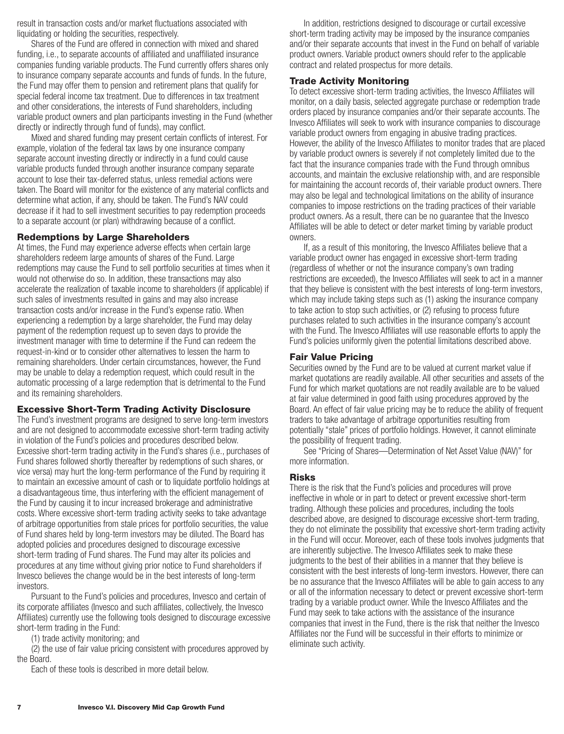<span id="page-8-0"></span>result in transaction costs and/or market fluctuations associated with liquidating or holding the securities, respectively.

Shares of the Fund are offered in connection with mixed and shared funding, i.e., to separate accounts of affiliated and unaffiliated insurance companies funding variable products. The Fund currently offers shares only to insurance company separate accounts and funds of funds. In the future, the Fund may offer them to pension and retirement plans that qualify for special federal income tax treatment. Due to differences in tax treatment and other considerations, the interests of Fund shareholders, including variable product owners and plan participants investing in the Fund (whether directly or indirectly through fund of funds), may conflict.

Mixed and shared funding may present certain conflicts of interest. For example, violation of the federal tax laws by one insurance company separate account investing directly or indirectly in a fund could cause variable products funded through another insurance company separate account to lose their tax-deferred status, unless remedial actions were taken. The Board will monitor for the existence of any material conflicts and determine what action, if any, should be taken. The Fund's NAV could decrease if it had to sell investment securities to pay redemption proceeds to a separate account (or plan) withdrawing because of a conflict.

### **Redemptions by Large Shareholders**

At times, the Fund may experience adverse effects when certain large shareholders redeem large amounts of shares of the Fund. Large redemptions may cause the Fund to sell portfolio securities at times when it would not otherwise do so. In addition, these transactions may also accelerate the realization of taxable income to shareholders (if applicable) if such sales of investments resulted in gains and may also increase transaction costs and/or increase in the Fund's expense ratio. When experiencing a redemption by a large shareholder, the Fund may delay payment of the redemption request up to seven days to provide the investment manager with time to determine if the Fund can redeem the request-in-kind or to consider other alternatives to lessen the harm to remaining shareholders. Under certain circumstances, however, the Fund may be unable to delay a redemption request, which could result in the automatic processing of a large redemption that is detrimental to the Fund and its remaining shareholders.

### **Excessive Short-Term Trading Activity Disclosure**

The Fund's investment programs are designed to serve long-term investors and are not designed to accommodate excessive short-term trading activity in violation of the Fund's policies and procedures described below. Excessive short-term trading activity in the Fund's shares (i.e., purchases of Fund shares followed shortly thereafter by redemptions of such shares, or vice versa) may hurt the long-term performance of the Fund by requiring it to maintain an excessive amount of cash or to liquidate portfolio holdings at a disadvantageous time, thus interfering with the efficient management of the Fund by causing it to incur increased brokerage and administrative costs. Where excessive short-term trading activity seeks to take advantage of arbitrage opportunities from stale prices for portfolio securities, the value of Fund shares held by long-term investors may be diluted. The Board has adopted policies and procedures designed to discourage excessive short-term trading of Fund shares. The Fund may alter its policies and procedures at any time without giving prior notice to Fund shareholders if Invesco believes the change would be in the best interests of long-term investors.

Pursuant to the Fund's policies and procedures, Invesco and certain of its corporate affiliates (Invesco and such affiliates, collectively, the Invesco Affiliates) currently use the following tools designed to discourage excessive short-term trading in the Fund:

(1) trade activity monitoring; and

(2) the use of fair value pricing consistent with procedures approved by the Board.

Each of these tools is described in more detail below.

In addition, restrictions designed to discourage or curtail excessive short-term trading activity may be imposed by the insurance companies and/or their separate accounts that invest in the Fund on behalf of variable product owners. Variable product owners should refer to the applicable contract and related prospectus for more details.

### **Trade Activity Monitoring**

To detect excessive short-term trading activities, the Invesco Affiliates will monitor, on a daily basis, selected aggregate purchase or redemption trade orders placed by insurance companies and/or their separate accounts. The Invesco Affiliates will seek to work with insurance companies to discourage variable product owners from engaging in abusive trading practices. However, the ability of the Invesco Affiliates to monitor trades that are placed by variable product owners is severely if not completely limited due to the fact that the insurance companies trade with the Fund through omnibus accounts, and maintain the exclusive relationship with, and are responsible for maintaining the account records of, their variable product owners. There may also be legal and technological limitations on the ability of insurance companies to impose restrictions on the trading practices of their variable product owners. As a result, there can be no guarantee that the Invesco Affiliates will be able to detect or deter market timing by variable product owners.

If, as a result of this monitoring, the Invesco Affiliates believe that a variable product owner has engaged in excessive short-term trading (regardless of whether or not the insurance company's own trading restrictions are exceeded), the Invesco Affiliates will seek to act in a manner that they believe is consistent with the best interests of long-term investors, which may include taking steps such as (1) asking the insurance company to take action to stop such activities, or (2) refusing to process future purchases related to such activities in the insurance company's account with the Fund. The Invesco Affiliates will use reasonable efforts to apply the Fund's policies uniformly given the potential limitations described above.

### **Fair Value Pricing**

Securities owned by the Fund are to be valued at current market value if market quotations are readily available. All other securities and assets of the Fund for which market quotations are not readily available are to be valued at fair value determined in good faith using procedures approved by the Board. An effect of fair value pricing may be to reduce the ability of frequent traders to take advantage of arbitrage opportunities resulting from potentially "stale" prices of portfolio holdings. However, it cannot eliminate the possibility of frequent trading.

See "Pricing of Shares—Determination of Net Asset Value (NAV)" for more information.

### **Risks**

There is the risk that the Fund's policies and procedures will prove ineffective in whole or in part to detect or prevent excessive short-term trading. Although these policies and procedures, including the tools described above, are designed to discourage excessive short-term trading, they do not eliminate the possibility that excessive short-term trading activity in the Fund will occur. Moreover, each of these tools involves judgments that are inherently subjective. The Invesco Affiliates seek to make these judgments to the best of their abilities in a manner that they believe is consistent with the best interests of long-term investors. However, there can be no assurance that the Invesco Affiliates will be able to gain access to any or all of the information necessary to detect or prevent excessive short-term trading by a variable product owner. While the Invesco Affiliates and the Fund may seek to take actions with the assistance of the insurance companies that invest in the Fund, there is the risk that neither the Invesco Affiliates nor the Fund will be successful in their efforts to minimize or eliminate such activity.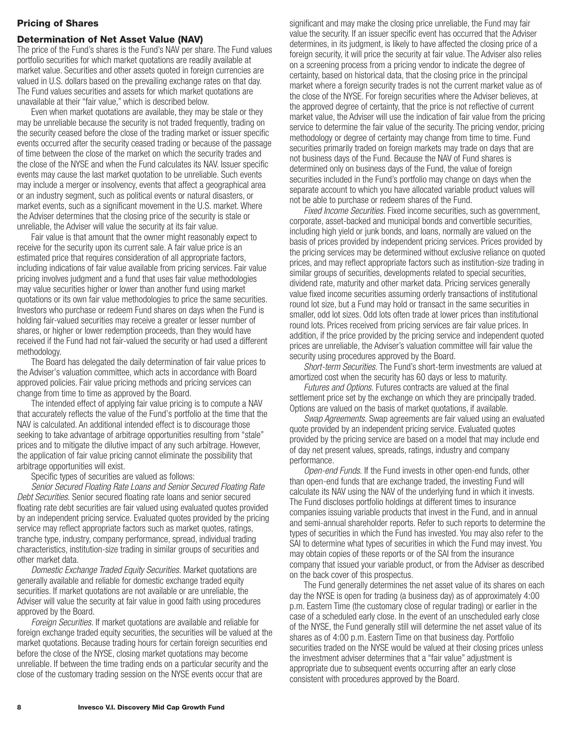### <span id="page-9-0"></span>**Pricing of Shares**

#### **Determination of Net Asset Value (NAV)**

The price of the Fund's shares is the Fund's NAV per share. The Fund values portfolio securities for which market quotations are readily available at market value. Securities and other assets quoted in foreign currencies are valued in U.S. dollars based on the prevailing exchange rates on that day. The Fund values securities and assets for which market quotations are unavailable at their "fair value," which is described below.

Even when market quotations are available, they may be stale or they may be unreliable because the security is not traded frequently, trading on the security ceased before the close of the trading market or issuer specific events occurred after the security ceased trading or because of the passage of time between the close of the market on which the security trades and the close of the NYSE and when the Fund calculates its NAV. Issuer specific events may cause the last market quotation to be unreliable. Such events may include a merger or insolvency, events that affect a geographical area or an industry segment, such as political events or natural disasters, or market events, such as a significant movement in the U.S. market. Where the Adviser determines that the closing price of the security is stale or unreliable, the Adviser will value the security at its fair value.

Fair value is that amount that the owner might reasonably expect to receive for the security upon its current sale. A fair value price is an estimated price that requires consideration of all appropriate factors, including indications of fair value available from pricing services. Fair value pricing involves judgment and a fund that uses fair value methodologies may value securities higher or lower than another fund using market quotations or its own fair value methodologies to price the same securities. Investors who purchase or redeem Fund shares on days when the Fund is holding fair-valued securities may receive a greater or lesser number of shares, or higher or lower redemption proceeds, than they would have received if the Fund had not fair-valued the security or had used a different methodology.

The Board has delegated the daily determination of fair value prices to the Adviser's valuation committee, which acts in accordance with Board approved policies. Fair value pricing methods and pricing services can change from time to time as approved by the Board.

The intended effect of applying fair value pricing is to compute a NAV that accurately reflects the value of the Fund's portfolio at the time that the NAV is calculated. An additional intended effect is to discourage those seeking to take advantage of arbitrage opportunities resulting from "stale" prices and to mitigate the dilutive impact of any such arbitrage. However, the application of fair value pricing cannot eliminate the possibility that arbitrage opportunities will exist.

Specific types of securities are valued as follows:

*Senior Secured Floating Rate Loans and Senior Secured Floating Rate Debt Securities.* Senior secured floating rate loans and senior secured floating rate debt securities are fair valued using evaluated quotes provided by an independent pricing service. Evaluated quotes provided by the pricing service may reflect appropriate factors such as market quotes, ratings, tranche type, industry, company performance, spread, individual trading characteristics, institution-size trading in similar groups of securities and other market data.

*Domestic Exchange Traded Equity Securities.* Market quotations are generally available and reliable for domestic exchange traded equity securities. If market quotations are not available or are unreliable, the Adviser will value the security at fair value in good faith using procedures approved by the Board.

*Foreign Securities.* If market quotations are available and reliable for foreign exchange traded equity securities, the securities will be valued at the market quotations. Because trading hours for certain foreign securities end before the close of the NYSE, closing market quotations may become unreliable. If between the time trading ends on a particular security and the close of the customary trading session on the NYSE events occur that are

significant and may make the closing price unreliable, the Fund may fair value the security. If an issuer specific event has occurred that the Adviser determines, in its judgment, is likely to have affected the closing price of a foreign security, it will price the security at fair value. The Adviser also relies on a screening process from a pricing vendor to indicate the degree of certainty, based on historical data, that the closing price in the principal market where a foreign security trades is not the current market value as of the close of the NYSE. For foreign securities where the Adviser believes, at the approved degree of certainty, that the price is not reflective of current market value, the Adviser will use the indication of fair value from the pricing service to determine the fair value of the security. The pricing vendor, pricing methodology or degree of certainty may change from time to time. Fund securities primarily traded on foreign markets may trade on days that are not business days of the Fund. Because the NAV of Fund shares is determined only on business days of the Fund, the value of foreign securities included in the Fund's portfolio may change on days when the separate account to which you have allocated variable product values will not be able to purchase or redeem shares of the Fund.

*Fixed Income Securities.* Fixed income securities, such as government, corporate, asset-backed and municipal bonds and convertible securities, including high yield or junk bonds, and loans, normally are valued on the basis of prices provided by independent pricing services. Prices provided by the pricing services may be determined without exclusive reliance on quoted prices, and may reflect appropriate factors such as institution-size trading in similar groups of securities, developments related to special securities, dividend rate, maturity and other market data. Pricing services generally value fixed income securities assuming orderly transactions of institutional round lot size, but a Fund may hold or transact in the same securities in smaller, odd lot sizes. Odd lots often trade at lower prices than institutional round lots. Prices received from pricing services are fair value prices. In addition, if the price provided by the pricing service and independent quoted prices are unreliable, the Adviser's valuation committee will fair value the security using procedures approved by the Board.

*Short-term Securities.* The Fund's short-term investments are valued at amortized cost when the security has 60 days or less to maturity.

*Futures and Options.* Futures contracts are valued at the final settlement price set by the exchange on which they are principally traded. Options are valued on the basis of market quotations, if available.

*Swap Agreements.* Swap agreements are fair valued using an evaluated quote provided by an independent pricing service. Evaluated quotes provided by the pricing service are based on a model that may include end of day net present values, spreads, ratings, industry and company performance.

*Open-end Funds.* If the Fund invests in other open-end funds, other than open-end funds that are exchange traded, the investing Fund will calculate its NAV using the NAV of the underlying fund in which it invests. The Fund discloses portfolio holdings at different times to insurance companies issuing variable products that invest in the Fund, and in annual and semi-annual shareholder reports. Refer to such reports to determine the types of securities in which the Fund has invested. You may also refer to the SAI to determine what types of securities in which the Fund may invest. You may obtain copies of these reports or of the SAI from the insurance company that issued your variable product, or from the Adviser as described on the back cover of this prospectus.

The Fund generally determines the net asset value of its shares on each day the NYSE is open for trading (a business day) as of approximately 4:00 p.m. Eastern Time (the customary close of regular trading) or earlier in the case of a scheduled early close. In the event of an unscheduled early close of the NYSE, the Fund generally still will determine the net asset value of its shares as of 4:00 p.m. Eastern Time on that business day. Portfolio securities traded on the NYSE would be valued at their closing prices unless the investment adviser determines that a "fair value" adjustment is appropriate due to subsequent events occurring after an early close consistent with procedures approved by the Board.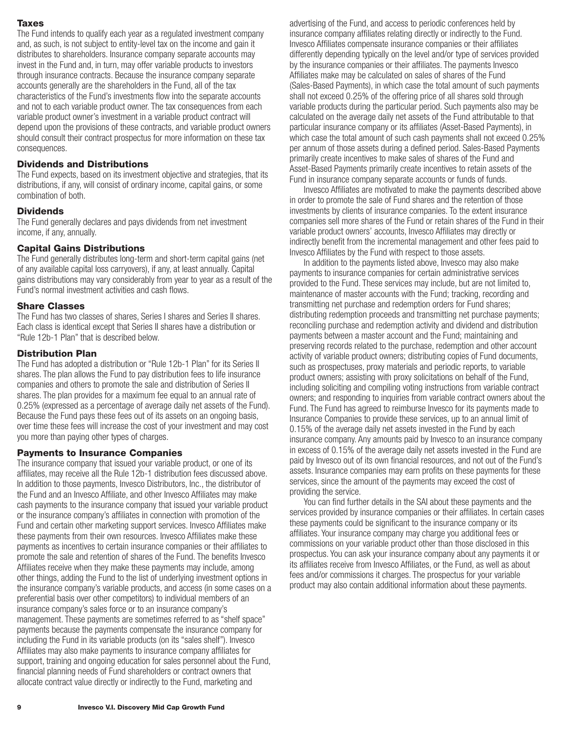### <span id="page-10-0"></span>**Taxes**

The Fund intends to qualify each year as a regulated investment company and, as such, is not subject to entity-level tax on the income and gain it distributes to shareholders. Insurance company separate accounts may invest in the Fund and, in turn, may offer variable products to investors through insurance contracts. Because the insurance company separate accounts generally are the shareholders in the Fund, all of the tax characteristics of the Fund's investments flow into the separate accounts and not to each variable product owner. The tax consequences from each variable product owner's investment in a variable product contract will depend upon the provisions of these contracts, and variable product owners should consult their contract prospectus for more information on these tax consequences.

### **Dividends and Distributions**

The Fund expects, based on its investment objective and strategies, that its distributions, if any, will consist of ordinary income, capital gains, or some combination of both.

### **Dividends**

The Fund generally declares and pays dividends from net investment income, if any, annually.

### **Capital Gains Distributions**

The Fund generally distributes long-term and short-term capital gains (net of any available capital loss carryovers), if any, at least annually. Capital gains distributions may vary considerably from year to year as a result of the Fund's normal investment activities and cash flows.

### **Share Classes**

The Fund has two classes of shares, Series I shares and Series II shares. Each class is identical except that Series II shares have a distribution or "Rule 12b-1 Plan" that is described below.

### **Distribution Plan**

The Fund has adopted a distribution or "Rule 12b-1 Plan" for its Series II shares. The plan allows the Fund to pay distribution fees to life insurance companies and others to promote the sale and distribution of Series II shares. The plan provides for a maximum fee equal to an annual rate of 0.25% (expressed as a percentage of average daily net assets of the Fund). Because the Fund pays these fees out of its assets on an ongoing basis, over time these fees will increase the cost of your investment and may cost you more than paying other types of charges.

### **Payments to Insurance Companies**

The insurance company that issued your variable product, or one of its affiliates, may receive all the Rule 12b-1 distribution fees discussed above. In addition to those payments, Invesco Distributors, Inc., the distributor of the Fund and an Invesco Affiliate, and other Invesco Affiliates may make cash payments to the insurance company that issued your variable product or the insurance company's affiliates in connection with promotion of the Fund and certain other marketing support services. Invesco Affiliates make these payments from their own resources. Invesco Affiliates make these payments as incentives to certain insurance companies or their affiliates to promote the sale and retention of shares of the Fund. The benefits Invesco Affiliates receive when they make these payments may include, among other things, adding the Fund to the list of underlying investment options in the insurance company's variable products, and access (in some cases on a preferential basis over other competitors) to individual members of an insurance company's sales force or to an insurance company's management. These payments are sometimes referred to as "shelf space" payments because the payments compensate the insurance company for including the Fund in its variable products (on its "sales shelf"). Invesco Affiliates may also make payments to insurance company affiliates for support, training and ongoing education for sales personnel about the Fund, financial planning needs of Fund shareholders or contract owners that allocate contract value directly or indirectly to the Fund, marketing and

advertising of the Fund, and access to periodic conferences held by insurance company affiliates relating directly or indirectly to the Fund. Invesco Affiliates compensate insurance companies or their affiliates differently depending typically on the level and/or type of services provided by the insurance companies or their affiliates. The payments Invesco Affiliates make may be calculated on sales of shares of the Fund (Sales-Based Payments), in which case the total amount of such payments shall not exceed 0.25% of the offering price of all shares sold through variable products during the particular period. Such payments also may be calculated on the average daily net assets of the Fund attributable to that particular insurance company or its affiliates (Asset-Based Payments), in which case the total amount of such cash payments shall not exceed 0.25% per annum of those assets during a defined period. Sales-Based Payments primarily create incentives to make sales of shares of the Fund and Asset-Based Payments primarily create incentives to retain assets of the Fund in insurance company separate accounts or funds of funds.

Invesco Affiliates are motivated to make the payments described above in order to promote the sale of Fund shares and the retention of those investments by clients of insurance companies. To the extent insurance companies sell more shares of the Fund or retain shares of the Fund in their variable product owners' accounts, Invesco Affiliates may directly or indirectly benefit from the incremental management and other fees paid to Invesco Affiliates by the Fund with respect to those assets.

In addition to the payments listed above, Invesco may also make payments to insurance companies for certain administrative services provided to the Fund. These services may include, but are not limited to, maintenance of master accounts with the Fund; tracking, recording and transmitting net purchase and redemption orders for Fund shares; distributing redemption proceeds and transmitting net purchase payments; reconciling purchase and redemption activity and dividend and distribution payments between a master account and the Fund; maintaining and preserving records related to the purchase, redemption and other account activity of variable product owners; distributing copies of Fund documents, such as prospectuses, proxy materials and periodic reports, to variable product owners; assisting with proxy solicitations on behalf of the Fund, including soliciting and compiling voting instructions from variable contract owners; and responding to inquiries from variable contract owners about the Fund. The Fund has agreed to reimburse Invesco for its payments made to Insurance Companies to provide these services, up to an annual limit of 0.15% of the average daily net assets invested in the Fund by each insurance company. Any amounts paid by Invesco to an insurance company in excess of 0.15% of the average daily net assets invested in the Fund are paid by Invesco out of its own financial resources, and not out of the Fund's assets. Insurance companies may earn profits on these payments for these services, since the amount of the payments may exceed the cost of providing the service.

You can find further details in the SAI about these payments and the services provided by insurance companies or their affiliates. In certain cases these payments could be significant to the insurance company or its affiliates. Your insurance company may charge you additional fees or commissions on your variable product other than those disclosed in this prospectus. You can ask your insurance company about any payments it or its affiliates receive from Invesco Affiliates, or the Fund, as well as about fees and/or commissions it charges. The prospectus for your variable product may also contain additional information about these payments.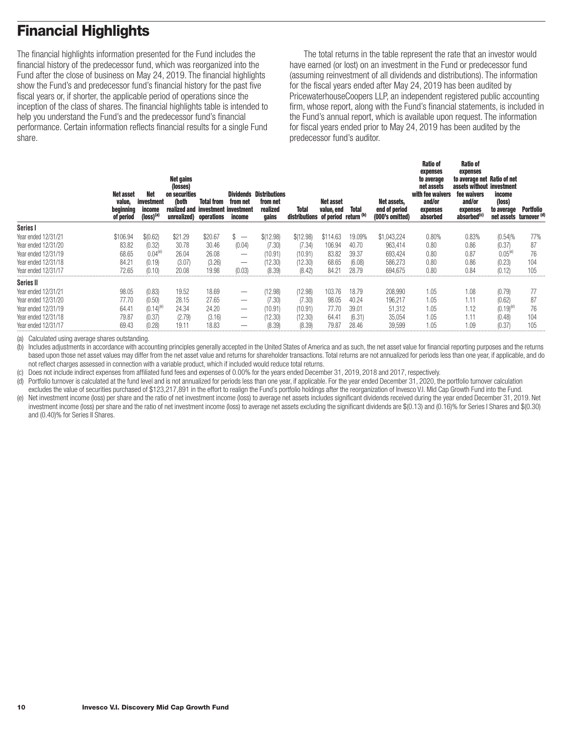# <span id="page-11-0"></span>**Financial Highlights**

The financial highlights information presented for the Fund includes the financial history of the predecessor fund, which was reorganized into the Fund after the close of business on May 24, 2019. The financial highlights show the Fund's and predecessor fund's financial history for the past five fiscal years or, if shorter, the applicable period of operations since the inception of the class of shares. The financial highlights table is intended to help you understand the Fund's and the predecessor fund's financial performance. Certain information reflects financial results for a single Fund share.

The total returns in the table represent the rate that an investor would have earned (or lost) on an investment in the Fund or predecessor fund (assuming reinvestment of all dividends and distributions). The information for the fiscal years ended after May 24, 2019 has been audited by PricewaterhouseCoopers LLP, an independent registered public accounting firm, whose report, along with the Fund's financial statements, is included in the Fund's annual report, which is available upon request. The information for fiscal years ended prior to May 24, 2019 has been audited by the predecessor fund's auditor.

**Ratio of**

**Ratio of**

|                     | Net asset<br>value.<br>beginning<br>of period | Net<br>investment<br>income<br>(loss) <sup>(a</sup> | Net gains<br>(losses)<br>on securities<br>(both<br>realized and<br>unrealized) operations | <b>Total from</b><br>investment investment | Dividends<br>from net<br>income | <b>Distributions</b><br>from net<br>realized<br>gains | Total<br>distributions of period return (b) | Net asset<br>value, end | <b>Total</b> | Net assets,<br>end of period<br>(000's omitted) | nauv vi<br>expenses<br>to average<br>net assets<br>with fee waivers<br>and/or<br>expenses<br>absorbed | nauv vi<br>expenses<br>to average net Ratio of net<br>assets without investment<br>fee waivers<br>and/or<br>expenses<br>absorbed <sup>(c)</sup> | income<br>(loss)<br>to average | Portfolio<br>net assets turnover (d) |
|---------------------|-----------------------------------------------|-----------------------------------------------------|-------------------------------------------------------------------------------------------|--------------------------------------------|---------------------------------|-------------------------------------------------------|---------------------------------------------|-------------------------|--------------|-------------------------------------------------|-------------------------------------------------------------------------------------------------------|-------------------------------------------------------------------------------------------------------------------------------------------------|--------------------------------|--------------------------------------|
| Series I            |                                               |                                                     |                                                                                           |                                            |                                 |                                                       |                                             |                         |              |                                                 |                                                                                                       |                                                                                                                                                 |                                |                                      |
| Year ended 12/31/21 | \$106.94                                      | \$(0.62)                                            | \$21.29                                                                                   | \$20.67                                    | $\overline{\phantom{a}}$<br>P.  | \$(12.98)                                             | \$(12.98)                                   | \$114.63                | 19.09%       | \$1,043,224                                     | 0.80%                                                                                                 | 0.83%                                                                                                                                           | (0.54)%                        | 77%                                  |
| Year ended 12/31/20 | 83.82                                         | (0.32)                                              | 30.78                                                                                     | 30.46                                      | (0.04)                          | (7.30)                                                | (7.34)                                      | 106.94                  | 40.70        | 963,414                                         | 0.80                                                                                                  | 0.86                                                                                                                                            | (0.37)                         | 87                                   |
| Year ended 12/31/19 | 68.65                                         | 0.04(e)                                             | 26.04                                                                                     | 26.08                                      | $\overline{\phantom{0}}$        | (10.91)                                               | (10.91)                                     | 83.82                   | 39.37        | 693,424                                         | 0.80                                                                                                  | 0.87                                                                                                                                            | $0.05^{(e)}$                   | 76                                   |
| Year ended 12/31/18 | 84.21                                         | (0.19)                                              | (3.07)                                                                                    | (3.26)                                     | –                               | (12.30)                                               | (12.30)                                     | 68.65                   | (6.08)       | 586,273                                         | 0.80                                                                                                  | 0.86                                                                                                                                            | (0.23)                         | 104                                  |
| Year ended 12/31/17 | 72.65                                         | (0.10)                                              | 20.08                                                                                     | 19.98                                      | (0.03)                          | (8.39)                                                | (8.42)                                      | 84.21                   | 28.79        | 694,675                                         | 0.80                                                                                                  | 0.84                                                                                                                                            | (0.12)                         | 105                                  |
| Series II           |                                               |                                                     |                                                                                           |                                            |                                 |                                                       |                                             |                         |              |                                                 |                                                                                                       |                                                                                                                                                 |                                |                                      |
| Year ended 12/31/21 | 98.05                                         | (0.83)                                              | 19.52                                                                                     | 18.69                                      | –                               | (12.98)                                               | (12.98)                                     | 103.76                  | 18.79        | 208.990                                         | 1.05                                                                                                  | 1.08                                                                                                                                            | (0.79)                         |                                      |
| Year ended 12/31/20 | 77.70                                         | (0.50)                                              | 28.15                                                                                     | 27.65                                      | $\overline{\phantom{0}}$        | (7.30)                                                | (7.30)                                      | 98.05                   | 40.24        | 196,217                                         | 1.05                                                                                                  | 1.11                                                                                                                                            | (0.62)                         | 87                                   |
| Year ended 12/31/19 | 64.41                                         | $(0.14)^{(e)}$                                      | 24.34                                                                                     | 24.20                                      | $\overline{\phantom{0}}$        | (10.91)                                               | (10.91)                                     | 77.70                   | 39.01        | 51.312                                          | 1.05                                                                                                  | 1.12                                                                                                                                            | $(0.19)^{(e)}$                 | 76                                   |
| Year ended 12/31/18 | 79.87                                         | (0.37)                                              | (2.79)                                                                                    | (3.16)                                     | $\hspace{0.1mm}-\hspace{0.1mm}$ | (12.30)                                               | (12.30)                                     | 64.41                   | (6.31)       | 35,054                                          | 1.05                                                                                                  | 1.11                                                                                                                                            | (0.48)                         | 104                                  |
| Year ended 12/31/17 | 69.43                                         | (0.28)                                              | 19.11                                                                                     | 18.83                                      |                                 | (8.39)                                                | (8.39)                                      | 79.87                   | 28.46        | 39.599                                          | 1.05                                                                                                  | 1.09                                                                                                                                            | (0.37)                         | 105                                  |

(a) Calculated using average shares outstanding.

(b) Includes adjustments in accordance with accounting principles generally accepted in the United States of America and as such, the net asset value for financial reporting purposes and the returns based upon those net asset values may differ from the net asset value and returns for shareholder transactions. Total returns are not annualized for periods less than one year, if applicable, and do not reflect charges assessed in connection with a variable product, which if included would reduce total returns.

(c) Does not include indirect expenses from affiliated fund fees and expenses of 0.00% for the years ended December 31, 2019, 2018 and 2017, respectively.

(d) Portfolio turnover is calculated at the fund level and is not annualized for periods less than one year, if applicable. For the year ended December 31, 2020, the portfolio turnover calculation excludes the value of securities purchased of \$123,217,891 in the effort to realign the Fund's portfolio holdings after the reorganization of Invesco V.I. Mid Cap Growth Fund into the Fund.

(e) Net investment income (loss) per share and the ratio of net investment income (loss) to average net assets includes significant dividends received during the year ended December 31, 2019. Net investment income (loss) per share and the ratio of net investment income (loss) to average net assets excluding the significant dividends are \$(0.13) and (0.16)% for Series I Shares and \$(0.30) and (0.40)% for Series II Shares.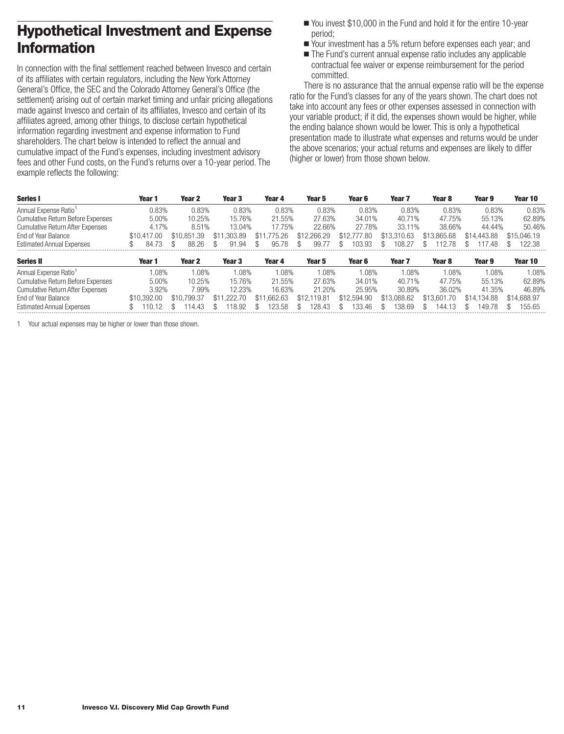## <span id="page-12-0"></span>**Hypothetical Investment and Expense Information**

In connection with the final settlement reached between Invesco and certain of its affiliates with certain regulators, including the New York Attorney General's Office, the SEC and the Colorado Attorney General's Office (the settlement) arising out of certain market timing and unfair pricing allegations made against Invesco and certain of its affiliates, Invesco and certain of its affiliates agreed, among other things, to disclose certain hypothetical information regarding investment and expense information to Fund shareholders. The chart below is intended to reflect the annual and cumulative impact of the Fund's expenses, including investment advisory fees and other Fund costs, on the Fund's returns over a 10-year period. The example reflects the following:

- You invest \$10,000 in the Fund and hold it for the entire 10-year period;
- Your investment has a 5% return before expenses each year; and
- The Fund's current annual expense ratio includes any applicable contractual fee waiver or expense reimbursement for the period committed.

There is no assurance that the annual expense ratio will be the expense ratio for the Fund's classes for any of the years shown. The chart does not take into account any fees or other expenses assessed in connection with your variable product; if it did, the expenses shown would be higher, while the ending balance shown would be lower. This is only a hypothetical presentation made to illustrate what expenses and returns would be under the above scenarios; your actual returns and expenses are likely to differ (higher or lower) from those shown below.

| <b>Series I</b>                          | Year 1      | Year 2            | Year 3      | Year 4          | Year 5            | Year 6      | Year <sub>7</sub> | Year 8          | Year 9      | Year 10     |
|------------------------------------------|-------------|-------------------|-------------|-----------------|-------------------|-------------|-------------------|-----------------|-------------|-------------|
| Annual Expense Ratio <sup>1</sup>        | 0.83%       | 0.83%             | 0.83%       | 0.83%           | 0.83%             | 0.83%       | 0.83%             | 0.83%           | 0.83%       | 0.83%       |
| <b>Cumulative Return Before Expenses</b> | $5.00\%$    | 10.25%            | 15.76%      | 21.55%          | 27.63%            | 34.01%      | 40.71%            | 47.75%          | 55.13%      | 62.89%      |
| <b>Cumulative Return After Expenses</b>  | 4.17%       | 8.51%             | 13.04%      | 17.75%          | 22.66%            | 27.78%      | 33.11%            | 38.66%          | 44.44%      | 50.46%      |
| End of Year Balance                      | \$10.417.00 | \$10.851.39       | \$11,303.89 | .775.26<br>\$11 | \$12,266.29       | \$12,777.80 | \$13,310.63       | \$13,865.68     | \$14,443.88 | \$15,046.19 |
| <b>Estimated Annual Expenses</b>         | 84.73       | 88.26             | .94<br>91   | 95.78           | 99.               | 103.93      | 108.27            | 12.78           | 17.48       | 122.38      |
| <b>Series II</b>                         | Year 1      | Year <sub>2</sub> | Year 3      | Year 4          | Year 5            | Year 6      | Year <sub>7</sub> | Year 8          | Year 9      | Year 10     |
| Annual Expense Ratio <sup>1</sup>        | $0.08\%$    | 1.08%             | 08%         | 08%             | 1.08%             | $.08\%$     | $.08\%$           | $.08\%$         | .08%        | $0.08\%$    |
| <b>Cumulative Return Before Expenses</b> | 5.00%       | 10.25%            | 15.76%      | 21.55%          | 27.63%            | 34.01%      | 40.71%            | 47.75%          | 55.13%      | 62.89%      |
| <b>Cumulative Return After Expenses</b>  | 3.92%       | 7.99%             | 12.23%      | 16.63%          | 21.20%            | 25.95%      | 30.89%            | 36.02%          | 41.35%      | 46.89%      |
| End of Year Balance                      | \$10.392.00 | \$10.799.37       | \$11,222.70 | .662.63<br>\$11 | .119.81<br>\$12.1 | \$12,594.90 | \$13,088,62       | .70<br>\$13.601 | \$14.134.88 | \$14,688,97 |
| <b>Estimated Annual Expenses</b>         |             | 14 43             | 18.92       | 123.58          | 28.43             | 133.46      | 38.69             | 144.            | 149.78      | 155.65      |

1 Your actual expenses may be higher or lower than those shown.